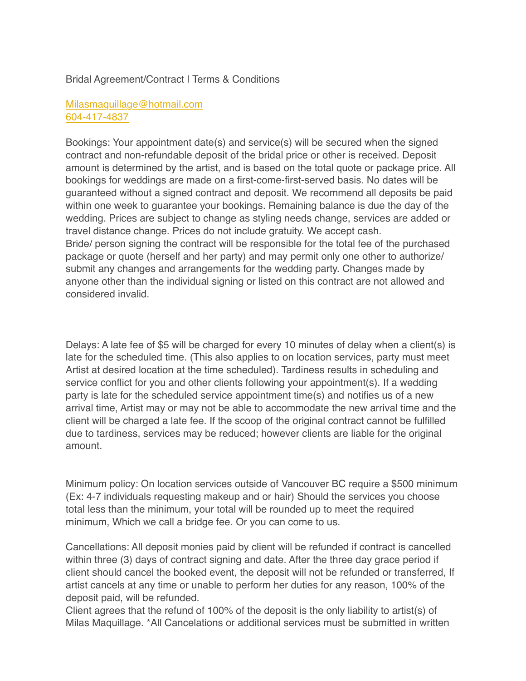## Bridal Agreement/Contract | Terms & Conditions

## [Milasmaquillage@hotmail.com](mailto:Milamaquillage@hotmail.com) [604-417-4837](tel:6044174837)

Bookings: Your appointment date(s) and service(s) will be secured when the signed contract and non-refundable deposit of the bridal price or other is received. Deposit amount is determined by the artist, and is based on the total quote or package price. All bookings for weddings are made on a first-come-first-served basis. No dates will be guaranteed without a signed contract and deposit. We recommend all deposits be paid within one week to guarantee your bookings. Remaining balance is due the day of the wedding. Prices are subject to change as styling needs change, services are added or travel distance change. Prices do not include gratuity. We accept cash. Bride/ person signing the contract will be responsible for the total fee of the purchased package or quote (herself and her party) and may permit only one other to authorize/ submit any changes and arrangements for the wedding party. Changes made by anyone other than the individual signing or listed on this contract are not allowed and considered invalid.

Delays: A late fee of \$5 will be charged for every 10 minutes of delay when a client(s) is late for the scheduled time. (This also applies to on location services, party must meet Artist at desired location at the time scheduled). Tardiness results in scheduling and service conflict for you and other clients following your appointment(s). If a wedding party is late for the scheduled service appointment time(s) and notifies us of a new arrival time, Artist may or may not be able to accommodate the new arrival time and the client will be charged a late fee. If the scoop of the original contract cannot be fulfilled due to tardiness, services may be reduced; however clients are liable for the original amount.

Minimum policy: On location services outside of Vancouver BC require a \$500 minimum (Ex: 4-7 individuals requesting makeup and or hair) Should the services you choose total less than the minimum, your total will be rounded up to meet the required minimum, Which we call a bridge fee. Or you can come to us.

Cancellations: All deposit monies paid by client will be refunded if contract is cancelled within three (3) days of contract signing and date. After the three day grace period if client should cancel the booked event, the deposit will not be refunded or transferred, If artist cancels at any time or unable to perform her duties for any reason, 100% of the deposit paid, will be refunded.

Client agrees that the refund of 100% of the deposit is the only liability to artist(s) of Milas Maquillage. \*All Cancelations or additional services must be submitted in written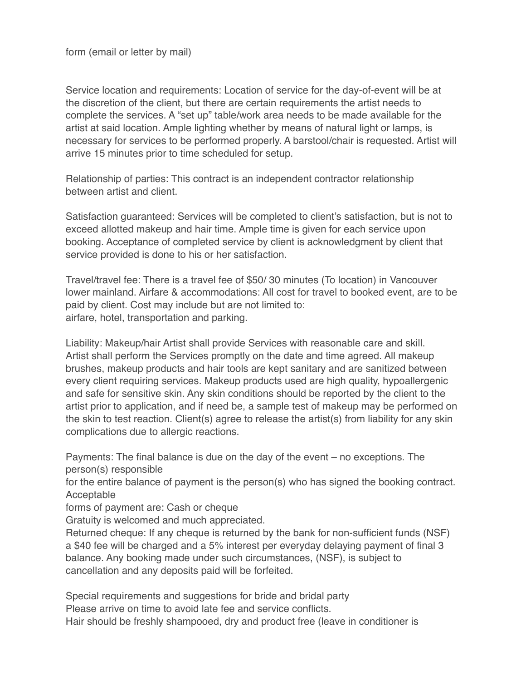Service location and requirements: Location of service for the day-of-event will be at the discretion of the client, but there are certain requirements the artist needs to complete the services. A "set up" table/work area needs to be made available for the artist at said location. Ample lighting whether by means of natural light or lamps, is necessary for services to be performed properly. A barstool/chair is requested. Artist will arrive 15 minutes prior to time scheduled for setup.

Relationship of parties: This contract is an independent contractor relationship between artist and client.

Satisfaction guaranteed: Services will be completed to client's satisfaction, but is not to exceed allotted makeup and hair time. Ample time is given for each service upon booking. Acceptance of completed service by client is acknowledgment by client that service provided is done to his or her satisfaction.

Travel/travel fee: There is a travel fee of \$50/ 30 minutes (To location) in Vancouver lower mainland. Airfare & accommodations: All cost for travel to booked event, are to be paid by client. Cost may include but are not limited to: airfare, hotel, transportation and parking.

Liability: Makeup/hair Artist shall provide Services with reasonable care and skill. Artist shall perform the Services promptly on the date and time agreed. All makeup brushes, makeup products and hair tools are kept sanitary and are sanitized between every client requiring services. Makeup products used are high quality, hypoallergenic and safe for sensitive skin. Any skin conditions should be reported by the client to the artist prior to application, and if need be, a sample test of makeup may be performed on the skin to test reaction. Client(s) agree to release the artist(s) from liability for any skin complications due to allergic reactions.

Payments: The final balance is due on the day of the event – no exceptions. The person(s) responsible

for the entire balance of payment is the person(s) who has signed the booking contract. Acceptable

forms of payment are: Cash or cheque

Gratuity is welcomed and much appreciated.

Returned cheque: If any cheque is returned by the bank for non-sufficient funds (NSF) a \$40 fee will be charged and a 5% interest per everyday delaying payment of final 3 balance. Any booking made under such circumstances, (NSF), is subject to cancellation and any deposits paid will be forfeited.

Special requirements and suggestions for bride and bridal party Please arrive on time to avoid late fee and service conflicts. Hair should be freshly shampooed, dry and product free (leave in conditioner is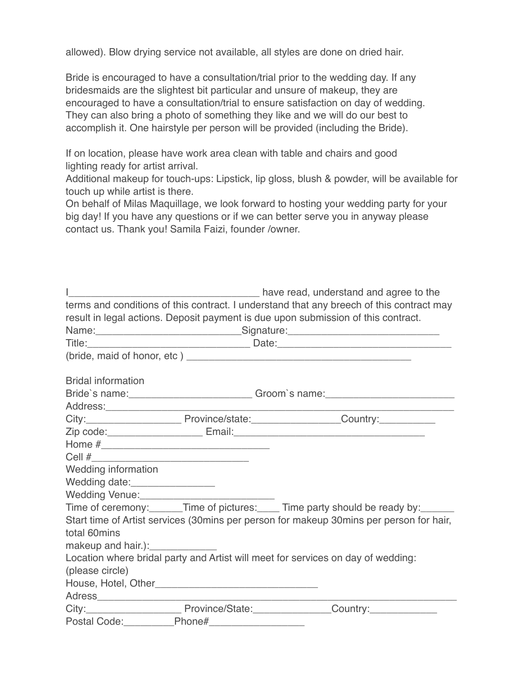allowed). Blow drying service not available, all styles are done on dried hair.

Bride is encouraged to have a consultation/trial prior to the wedding day. If any bridesmaids are the slightest bit particular and unsure of makeup, they are encouraged to have a consultation/trial to ensure satisfaction on day of wedding. They can also bring a photo of something they like and we will do our best to accomplish it. One hairstyle per person will be provided (including the Bride).

If on location, please have work area clean with table and chairs and good lighting ready for artist arrival.

Additional makeup for touch-ups: Lipstick, lip gloss, blush & powder, will be available for touch up while artist is there.

On behalf of Milas Maquillage, we look forward to hosting your wedding party for your big day! If you have any questions or if we can better serve you in anyway please contact us. Thank you! Samila Faizi, founder /owner.

|                                    |                                                                                  | The part of the part of the summands and agree to the sensitive many states and agree to the        |
|------------------------------------|----------------------------------------------------------------------------------|-----------------------------------------------------------------------------------------------------|
|                                    |                                                                                  | terms and conditions of this contract. I understand that any breech of this contract may            |
|                                    |                                                                                  | result in legal actions. Deposit payment is due upon submission of this contract.                   |
|                                    |                                                                                  | Name:___________________________________Signature:______________________________                    |
|                                    |                                                                                  |                                                                                                     |
|                                    |                                                                                  |                                                                                                     |
| <b>Bridal information</b>          |                                                                                  |                                                                                                     |
|                                    | Bride's name: _____________________________Groom's name: _______________________ |                                                                                                     |
|                                    |                                                                                  |                                                                                                     |
|                                    |                                                                                  | City:_________________________________Province/state:_________________________Country:_____________ |
|                                    |                                                                                  |                                                                                                     |
|                                    |                                                                                  |                                                                                                     |
|                                    |                                                                                  |                                                                                                     |
| <b>Wedding information</b>         |                                                                                  |                                                                                                     |
| Wedding date:_________________     |                                                                                  |                                                                                                     |
|                                    |                                                                                  |                                                                                                     |
|                                    |                                                                                  | Time of ceremony:______Time of pictures:_____Time party should be ready by:______                   |
|                                    |                                                                                  | Start time of Artist services (30mins per person for makeup 30mins per person for hair,             |
| total 60mins                       |                                                                                  |                                                                                                     |
| makeup and hair.): _______________ |                                                                                  |                                                                                                     |
|                                    |                                                                                  | Location where bridal party and Artist will meet for services on day of wedding:                    |
| (please circle)                    |                                                                                  |                                                                                                     |
|                                    |                                                                                  |                                                                                                     |
|                                    | the control of the control of the control of the                                 |                                                                                                     |
|                                    |                                                                                  | City:_______________________________Province/State:____________________Country:____________________ |
| Postal Code:                       | Phone#                                                                           | <u> 1990 - Johann Barbara, martin a</u>                                                             |